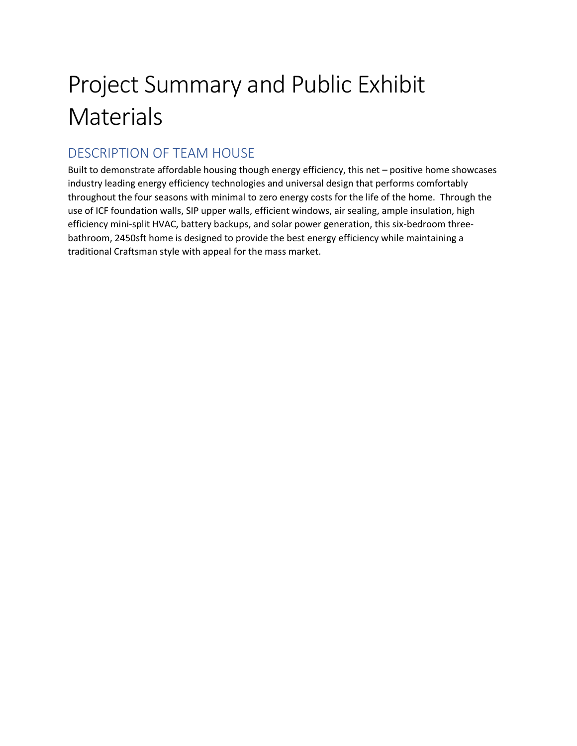# Project Summary and Public Exhibit **Materials**

## DESCRIPTION OF TEAM HOUSE

Built to demonstrate affordable housing though energy efficiency, this net – positive home showcases industry leading energy efficiency technologies and universal design that performs comfortably throughout the four seasons with minimal to zero energy costs for the life of the home. Through the use of ICF foundation walls, SIP upper walls, efficient windows, air sealing, ample insulation, high efficiency mini-split HVAC, battery backups, and solar power generation, this six-bedroom threebathroom, 2450sft home is designed to provide the best energy efficiency while maintaining a traditional Craftsman style with appeal for the mass market.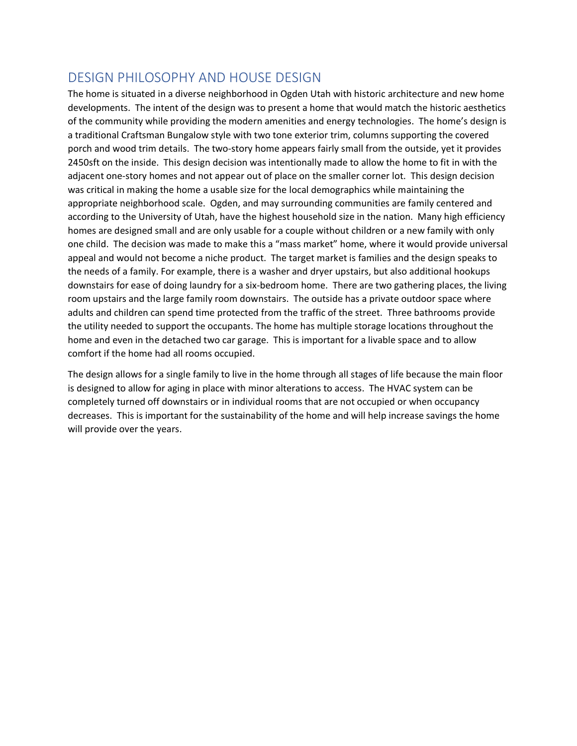#### DESIGN PHILOSOPHY AND HOUSE DESIGN

The home is situated in a diverse neighborhood in Ogden Utah with historic architecture and new home developments. The intent of the design was to present a home that would match the historic aesthetics of the community while providing the modern amenities and energy technologies. The home's design is a traditional Craftsman Bungalow style with two tone exterior trim, columns supporting the covered porch and wood trim details. The two-story home appears fairly small from the outside, yet it provides 2450sft on the inside. This design decision was intentionally made to allow the home to fit in with the adjacent one-story homes and not appear out of place on the smaller corner lot. This design decision was critical in making the home a usable size for the local demographics while maintaining the appropriate neighborhood scale. Ogden, and may surrounding communities are family centered and according to the University of Utah, have the highest household size in the nation. Many high efficiency homes are designed small and are only usable for a couple without children or a new family with only one child. The decision was made to make this a "mass market" home, where it would provide universal appeal and would not become a niche product. The target market is families and the design speaks to the needs of a family. For example, there is a washer and dryer upstairs, but also additional hookups downstairs for ease of doing laundry for a six-bedroom home. There are two gathering places, the living room upstairs and the large family room downstairs. The outside has a private outdoor space where adults and children can spend time protected from the traffic of the street. Three bathrooms provide the utility needed to support the occupants. The home has multiple storage locations throughout the home and even in the detached two car garage. This is important for a livable space and to allow comfort if the home had all rooms occupied.

The design allows for a single family to live in the home through all stages of life because the main floor is designed to allow for aging in place with minor alterations to access. The HVAC system can be completely turned off downstairs or in individual rooms that are not occupied or when occupancy decreases. This is important for the sustainability of the home and will help increase savings the home will provide over the years.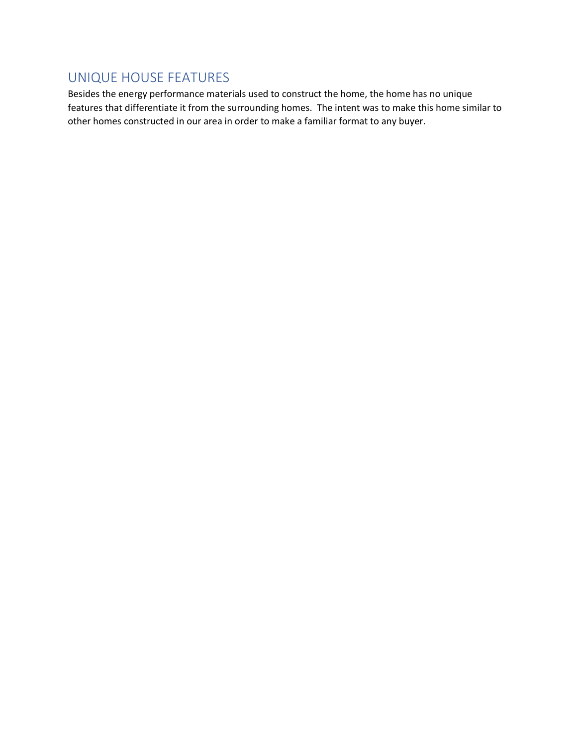## UNIQUE HOUSE FEATURES

Besides the energy performance materials used to construct the home, the home has no unique features that differentiate it from the surrounding homes. The intent was to make this home similar to other homes constructed in our area in order to make a familiar format to any buyer.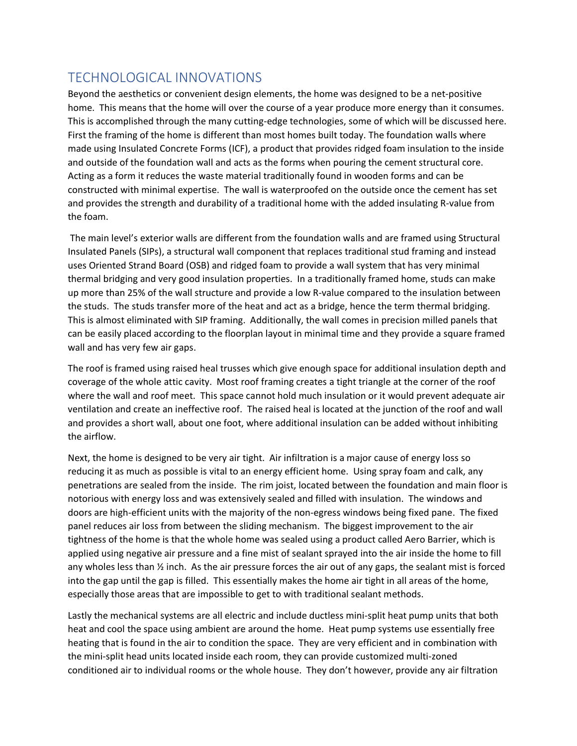## TECHNOLOGICAL INNOVATIONS

Beyond the aesthetics or convenient design elements, the home was designed to be a net-positive home. This means that the home will over the course of a year produce more energy than it consumes. This is accomplished through the many cutting-edge technologies, some of which will be discussed here. First the framing of the home is different than most homes built today. The foundation walls where made using Insulated Concrete Forms (ICF), a product that provides ridged foam insulation to the inside and outside of the foundation wall and acts as the forms when pouring the cement structural core. Acting as a form it reduces the waste material traditionally found in wooden forms and can be constructed with minimal expertise. The wall is waterproofed on the outside once the cement has set and provides the strength and durability of a traditional home with the added insulating R-value from the foam.

The main level's exterior walls are different from the foundation walls and are framed using Structural Insulated Panels (SIPs), a structural wall component that replaces traditional stud framing and instead uses Oriented Strand Board (OSB) and ridged foam to provide a wall system that has very minimal thermal bridging and very good insulation properties. In a traditionally framed home, studs can make up more than 25% of the wall structure and provide a low R-value compared to the insulation between the studs. The studs transfer more of the heat and act as a bridge, hence the term thermal bridging. This is almost eliminated with SIP framing. Additionally, the wall comes in precision milled panels that can be easily placed according to the floorplan layout in minimal time and they provide a square framed wall and has very few air gaps.

The roof is framed using raised heal trusses which give enough space for additional insulation depth and coverage of the whole attic cavity. Most roof framing creates a tight triangle at the corner of the roof where the wall and roof meet. This space cannot hold much insulation or it would prevent adequate air ventilation and create an ineffective roof. The raised heal is located at the junction of the roof and wall and provides a short wall, about one foot, where additional insulation can be added without inhibiting the airflow.

Next, the home is designed to be very air tight. Air infiltration is a major cause of energy loss so reducing it as much as possible is vital to an energy efficient home. Using spray foam and calk, any penetrations are sealed from the inside. The rim joist, located between the foundation and main floor is notorious with energy loss and was extensively sealed and filled with insulation. The windows and doors are high-efficient units with the majority of the non-egress windows being fixed pane. The fixed panel reduces air loss from between the sliding mechanism. The biggest improvement to the air tightness of the home is that the whole home was sealed using a product called Aero Barrier, which is applied using negative air pressure and a fine mist of sealant sprayed into the air inside the home to fill any wholes less than ½ inch. As the air pressure forces the air out of any gaps, the sealant mist is forced into the gap until the gap is filled. This essentially makes the home air tight in all areas of the home, especially those areas that are impossible to get to with traditional sealant methods.

Lastly the mechanical systems are all electric and include ductless mini-split heat pump units that both heat and cool the space using ambient are around the home. Heat pump systems use essentially free heating that is found in the air to condition the space. They are very efficient and in combination with the mini-split head units located inside each room, they can provide customized multi-zoned conditioned air to individual rooms or the whole house. They don't however, provide any air filtration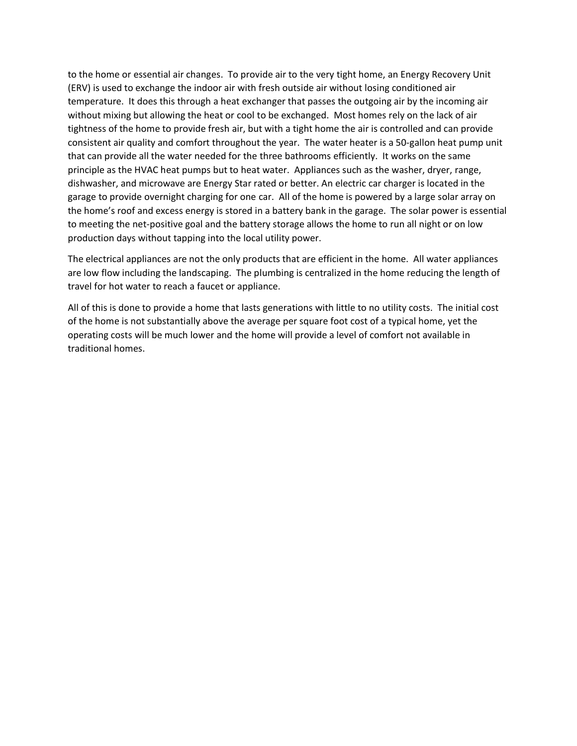to the home or essential air changes. To provide air to the very tight home, an Energy Recovery Unit (ERV) is used to exchange the indoor air with fresh outside air without losing conditioned air temperature. It does this through a heat exchanger that passes the outgoing air by the incoming air without mixing but allowing the heat or cool to be exchanged. Most homes rely on the lack of air tightness of the home to provide fresh air, but with a tight home the air is controlled and can provide consistent air quality and comfort throughout the year. The water heater is a 50-gallon heat pump unit that can provide all the water needed for the three bathrooms efficiently. It works on the same principle as the HVAC heat pumps but to heat water. Appliances such as the washer, dryer, range, dishwasher, and microwave are Energy Star rated or better. An electric car charger is located in the garage to provide overnight charging for one car. All of the home is powered by a large solar array on the home's roof and excess energy is stored in a battery bank in the garage. The solar power is essential to meeting the net-positive goal and the battery storage allows the home to run all night or on low production days without tapping into the local utility power.

The electrical appliances are not the only products that are efficient in the home. All water appliances are low flow including the landscaping. The plumbing is centralized in the home reducing the length of travel for hot water to reach a faucet or appliance.

All of this is done to provide a home that lasts generations with little to no utility costs. The initial cost of the home is not substantially above the average per square foot cost of a typical home, yet the operating costs will be much lower and the home will provide a level of comfort not available in traditional homes.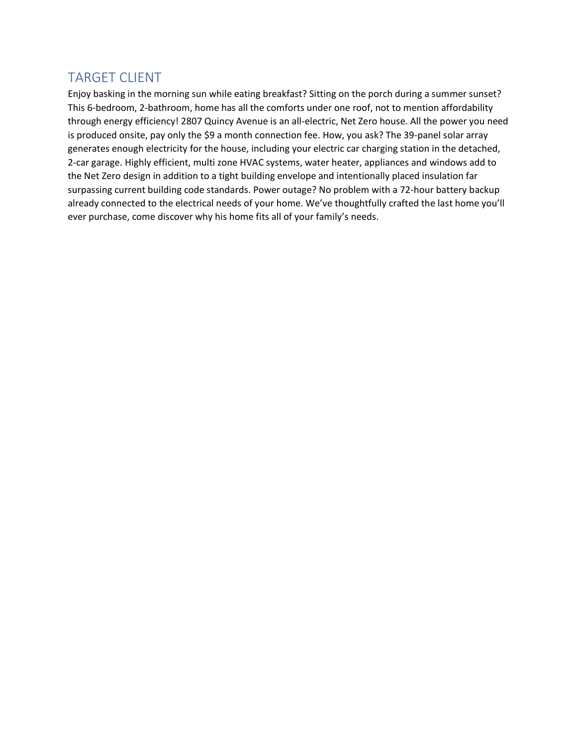### TARGET CLIENT

Enjoy basking in the morning sun while eating breakfast? Sitting on the porch during a summer sunset? This 6-bedroom, 2-bathroom, home has all the comforts under one roof, not to mention affordability through energy efficiency! 2807 Quincy Avenue is an all-electric, Net Zero house. All the power you need is produced onsite, pay only the \$9 a month connection fee. How, you ask? The 39-panel solar array generates enough electricity for the house, including your electric car charging station in the detached, 2-car garage. Highly efficient, multi zone HVAC systems, water heater, appliances and windows add to the Net Zero design in addition to a tight building envelope and intentionally placed insulation far surpassing current building code standards. Power outage? No problem with a 72-hour battery backup already connected to the electrical needs of your home. We've thoughtfully crafted the last home you'll ever purchase, come discover why his home fits all of your family's needs.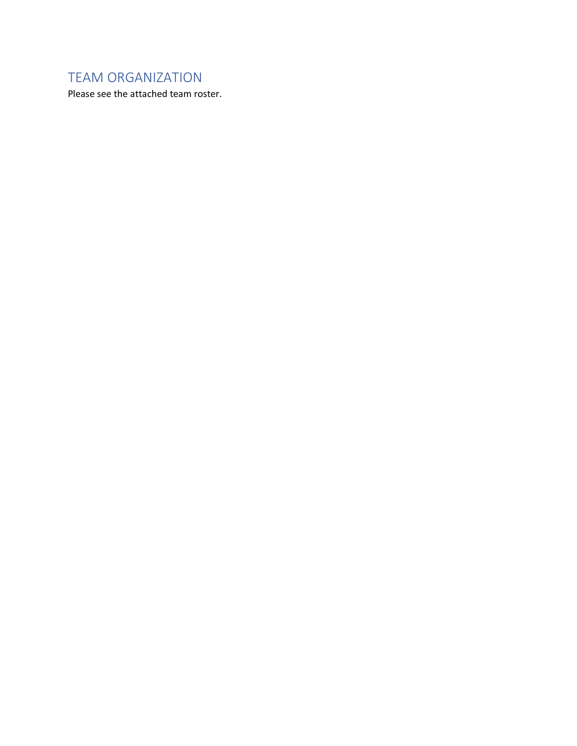## TEAM ORGANIZATION

Please see the attached team roster.